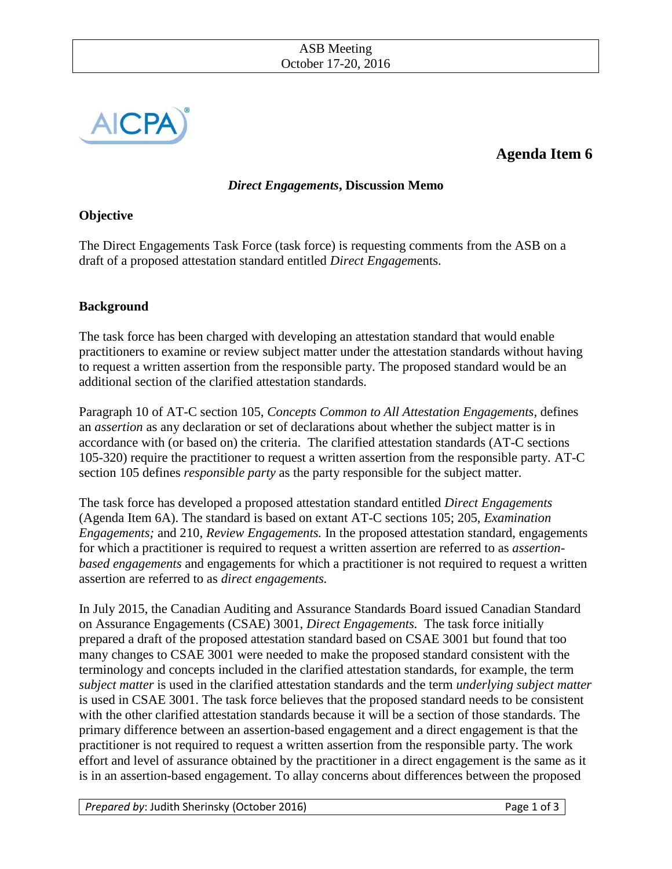

# **Agenda Item 6**

## *Direct Engagements***, Discussion Memo**

## **Objective**

The Direct Engagements Task Force (task force) is requesting comments from the ASB on a draft of a proposed attestation standard entitled *Direct Engagem*ents.

#### **Background**

The task force has been charged with developing an attestation standard that would enable practitioners to examine or review subject matter under the attestation standards without having to request a written assertion from the responsible party. The proposed standard would be an additional section of the clarified attestation standards.

Paragraph 10 of AT-C section 105, *Concepts Common to All Attestation Engagements*, defines an *assertion* as any declaration or set of declarations about whether the subject matter is in accordance with (or based on) the criteria. The clarified attestation standards (AT-C sections 105-320) require the practitioner to request a written assertion from the responsible party. AT-C section 105 defines *responsible party* as the party responsible for the subject matter.

The task force has developed a proposed attestation standard entitled *Direct Engagements* (Agenda Item 6A). The standard is based on extant AT-C sections 105; 205, *Examination Engagements;* and 210, *Review Engagements.* In the proposed attestation standard, engagements for which a practitioner is required to request a written assertion are referred to as *assertionbased engagements* and engagements for which a practitioner is not required to request a written assertion are referred to as *direct engagements.*

In July 2015, the Canadian Auditing and Assurance Standards Board issued Canadian Standard on Assurance Engagements (CSAE) 3001, *Direct Engagements.* The task force initially prepared a draft of the proposed attestation standard based on CSAE 3001 but found that too many changes to CSAE 3001 were needed to make the proposed standard consistent with the terminology and concepts included in the clarified attestation standards, for example, the term *subject matter* is used in the clarified attestation standards and the term *underlying subject matter* is used in CSAE 3001. The task force believes that the proposed standard needs to be consistent with the other clarified attestation standards because it will be a section of those standards. The primary difference between an assertion-based engagement and a direct engagement is that the practitioner is not required to request a written assertion from the responsible party. The work effort and level of assurance obtained by the practitioner in a direct engagement is the same as it is in an assertion-based engagement. To allay concerns about differences between the proposed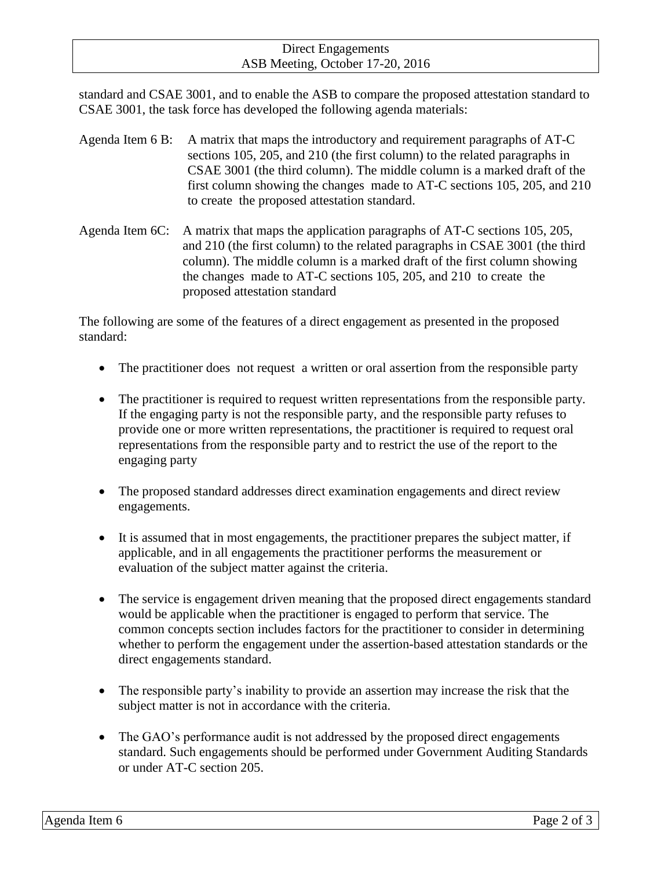#### Direct Engagements ASB Meeting, October 17-20, 2016

standard and CSAE 3001, and to enable the ASB to compare the proposed attestation standard to CSAE 3001, the task force has developed the following agenda materials:

- Agenda Item 6 B: A matrix that maps the introductory and requirement paragraphs of AT-C sections 105, 205, and 210 (the first column) to the related paragraphs in CSAE 3001 (the third column). The middle column is a marked draft of the first column showing the changes made to AT-C sections 105, 205, and 210 to create the proposed attestation standard.
- Agenda Item 6C: A matrix that maps the application paragraphs of AT-C sections 105, 205, and 210 (the first column) to the related paragraphs in CSAE 3001 (the third column). The middle column is a marked draft of the first column showing the changes made to AT-C sections 105, 205, and 210 to create the proposed attestation standard

The following are some of the features of a direct engagement as presented in the proposed standard:

- The practitioner does not request a written or oral assertion from the responsible party
- The practitioner is required to request written representations from the responsible party. If the engaging party is not the responsible party, and the responsible party refuses to provide one or more written representations, the practitioner is required to request oral representations from the responsible party and to restrict the use of the report to the engaging party
- The proposed standard addresses direct examination engagements and direct review engagements.
- It is assumed that in most engagements, the practitioner prepares the subject matter, if applicable, and in all engagements the practitioner performs the measurement or evaluation of the subject matter against the criteria.
- The service is engagement driven meaning that the proposed direct engagements standard would be applicable when the practitioner is engaged to perform that service. The common concepts section includes factors for the practitioner to consider in determining whether to perform the engagement under the assertion-based attestation standards or the direct engagements standard.
- The responsible party's inability to provide an assertion may increase the risk that the subject matter is not in accordance with the criteria.
- The GAO's performance audit is not addressed by the proposed direct engagements standard. Such engagements should be performed under Government Auditing Standards or under AT-C section 205.